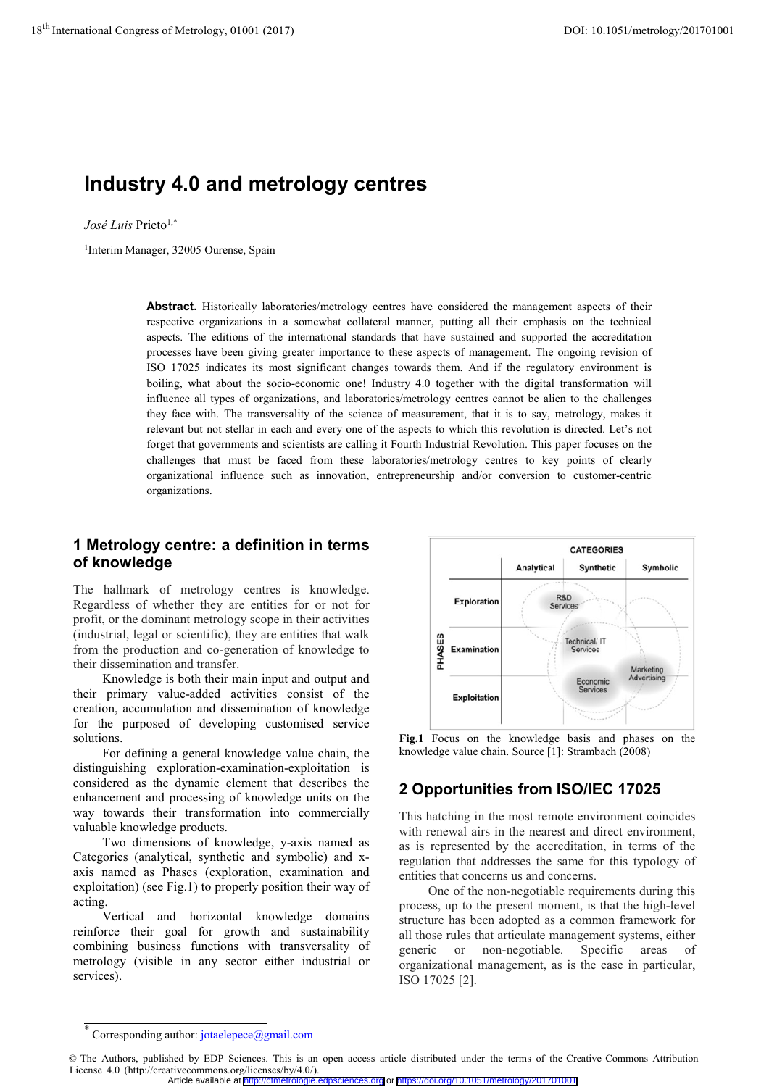# Industry 4.0 and metrology centres

José Luis Prieto<sup>1,\*</sup>

1Interim Manager, 32005 Ourense, Spain

Abstract. Historically laboratories/metrology centres have considered the management aspects of their respective organizations in a somewhat collateral manner, putting all their emphasis on the technical aspects. The editions of the international standards that have sustained and supported the accreditation processes have been giving greater importance to these aspects of management. The ongoing revision of ISO 17025 indicates its most significant changes towards them. And if the regulatory environment is boiling, what about the socio-economic one! Industry 4.0 together with the digital transformation will influence all types of organizations, and laboratories/metrology centres cannot be alien to the challenges they face with. The transversality of the science of measurement, that it is to say, metrology, makes it relevant but not stellar in each and every one of the aspects to which this revolution is directed. Let's not forget that governments and scientists are calling it Fourth Industrial Revolution. This paper focuses on the challenges that must be faced from these laboratories/metrology centres to key points of clearly organizational influence such as innovation, entrepreneurship and/or conversion to customer-centric organizations.

### 1 Metrology centre: a definition in terms of knowledge

The hallmark of metrology centres is knowledge. Regardless of whether they are entities for or not for profit, or the dominant metrology scope in their activities (industrial, legal or scientific), they are entities that walk from the production and co-generation of knowledge to their dissemination and transfer.

Knowledge is both their main input and output and their primary value-added activities consist of the creation, accumulation and dissemination of knowledge for the purposed of developing customised service solutions.

For defining a general knowledge value chain, the distinguishing exploration-examination-exploitation is considered as the dynamic element that describes the enhancement and processing of knowledge units on the way towards their transformation into commercially valuable knowledge products.

Two dimensions of knowledge, y-axis named as Categories (analytical, synthetic and symbolic) and xaxis named as Phases (exploration, examination and exploitation) (see Fig.1) to properly position their way of acting.

Vertical and horizontal knowledge domains reinforce their goal for growth and sustainability combining business functions with transversality of metrology (visible in any sector either industrial or services).



Fig.1 Focus on the knowledge basis and phases on the knowledge value chain. Source [1]: Strambach (2008)

### 2 Opportunities from ISO/IEC 17025

This hatching in the most remote environment coincides with renewal airs in the nearest and direct environment, as is represented by the accreditation, in terms of the regulation that addresses the same for this typology of entities that concerns us and concerns.

One of the non-negotiable requirements during this process, up to the present moment, is that the high-level structure has been adopted as a common framework for all those rules that articulate management systems, either generic or non-negotiable. Specific areas of organizational management, as is the case in particular, ISO 17025 [2].

<sup>\*</sup> Corresponding author: jotaelepece@gmail.com

<sup>©</sup> The Authors, published by EDP Sciences. This is an open access article distributed under the terms of the Creative Commons Attribution License 4.0 (http://creativecommons.org/licenses/by/4.0/).

Article available at <http://cfmetrologie.edpsciences.org> or <https://doi.org/10.1051/metrology/201701001>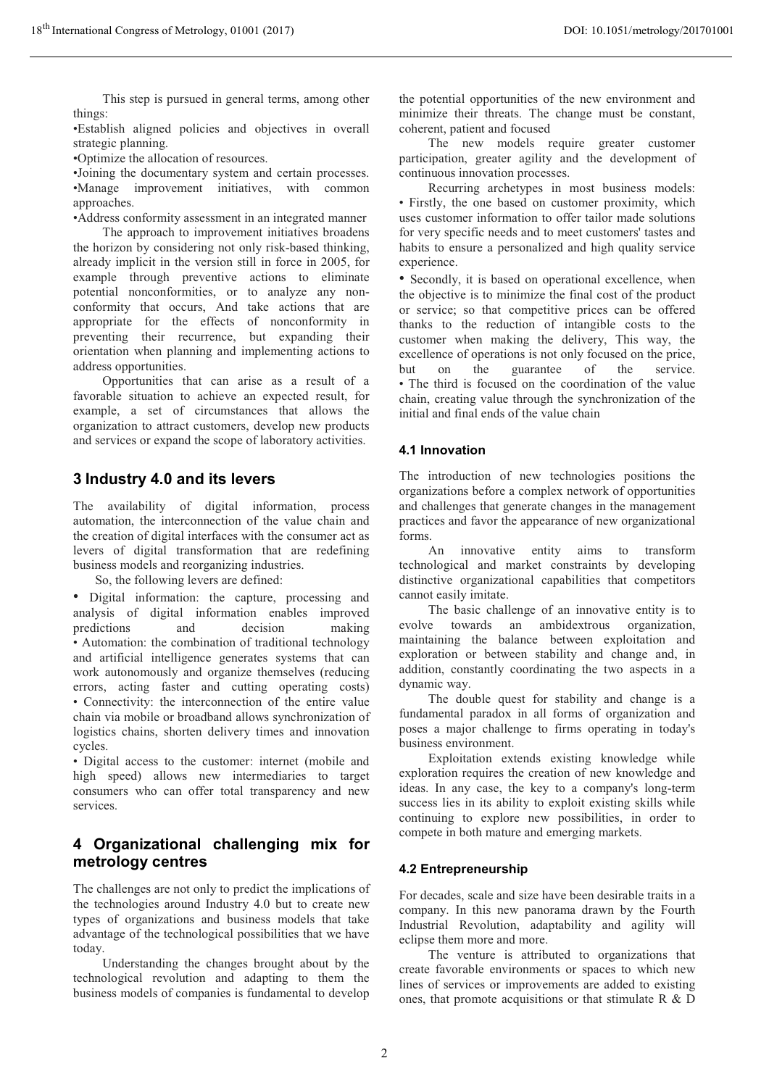This step is pursued in general terms, among other things:

•Establish aligned policies and objectives in overall strategic planning.

•Optimize the allocation of resources.

•Joining the documentary system and certain processes. •Manage improvement initiatives, with common approaches.

•Address conformity assessment in an integrated manner The approach to improvement initiatives broadens the horizon by considering not only risk-based thinking, already implicit in the version still in force in 2005, for example through preventive actions to eliminate potential nonconformities, or to analyze any nonconformity that occurs, And take actions that are appropriate for the effects of nonconformity in preventing their recurrence, but expanding their orientation when planning and implementing actions to address opportunities.

Opportunities that can arise as a result of a favorable situation to achieve an expected result, for example, a set of circumstances that allows the organization to attract customers, develop new products and services or expand the scope of laboratory activities.

### 3 Industry 4.0 and its levers

The availability of digital information, process automation, the interconnection of the value chain and the creation of digital interfaces with the consumer act as levers of digital transformation that are redefining business models and reorganizing industries.

So, the following levers are defined:

• Digital information: the capture, processing and analysis of digital information enables improved predictions and decision making • Automation: the combination of traditional technology and artificial intelligence generates systems that can work autonomously and organize themselves (reducing errors, acting faster and cutting operating costs) • Connectivity: the interconnection of the entire value chain via mobile or broadband allows synchronization of logistics chains, shorten delivery times and innovation cycles.

• Digital access to the customer: internet (mobile and high speed) allows new intermediaries to target consumers who can offer total transparency and new services.

### 4 Organizational challenging mix for metrology centres

The challenges are not only to predict the implications of the technologies around Industry 4.0 but to create new types of organizations and business models that take advantage of the technological possibilities that we have today.

Understanding the changes brought about by the technological revolution and adapting to them the business models of companies is fundamental to develop

the potential opportunities of the new environment and minimize their threats. The change must be constant, coherent, patient and focused

The new models require greater customer participation, greater agility and the development of continuous innovation processes.

Recurring archetypes in most business models: • Firstly, the one based on customer proximity, which uses customer information to offer tailor made solutions for very specific needs and to meet customers' tastes and habits to ensure a personalized and high quality service experience.

• Secondly, it is based on operational excellence, when the objective is to minimize the final cost of the product or service; so that competitive prices can be offered thanks to the reduction of intangible costs to the customer when making the delivery, This way, the excellence of operations is not only focused on the price, but on the guarantee of the service. • The third is focused on the coordination of the value chain, creating value through the synchronization of the initial and final ends of the value chain

#### 4.1 Innovation

The introduction of new technologies positions the organizations before a complex network of opportunities and challenges that generate changes in the management practices and favor the appearance of new organizational forms.

 An innovative entity aims to transform technological and market constraints by developing distinctive organizational capabilities that competitors cannot easily imitate.

 The basic challenge of an innovative entity is to evolve towards an ambidextrous organization, maintaining the balance between exploitation and exploration or between stability and change and, in addition, constantly coordinating the two aspects in a dynamic way.

 The double quest for stability and change is a fundamental paradox in all forms of organization and poses a major challenge to firms operating in today's business environment.

 Exploitation extends existing knowledge while exploration requires the creation of new knowledge and ideas. In any case, the key to a company's long-term success lies in its ability to exploit existing skills while continuing to explore new possibilities, in order to compete in both mature and emerging markets.

#### 4.2 Entrepreneurship

For decades, scale and size have been desirable traits in a company. In this new panorama drawn by the Fourth Industrial Revolution, adaptability and agility will eclipse them more and more.

The venture is attributed to organizations that create favorable environments or spaces to which new lines of services or improvements are added to existing ones, that promote acquisitions or that stimulate R & D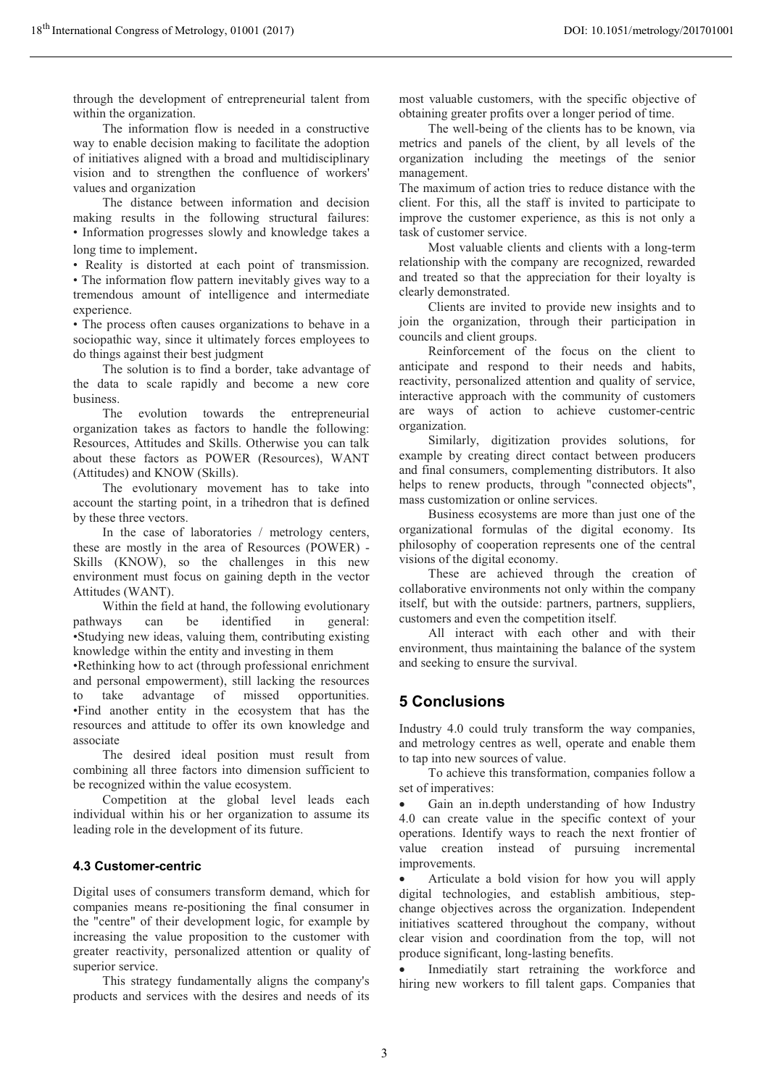through the development of entrepreneurial talent from within the organization.

The information flow is needed in a constructive way to enable decision making to facilitate the adoption of initiatives aligned with a broad and multidisciplinary vision and to strengthen the confluence of workers' values and organization

The distance between information and decision making results in the following structural failures: • Information progresses slowly and knowledge takes a long time to implement.

• Reality is distorted at each point of transmission.

• The information flow pattern inevitably gives way to a tremendous amount of intelligence and intermediate experience.

• The process often causes organizations to behave in a sociopathic way, since it ultimately forces employees to do things against their best judgment

 The solution is to find a border, take advantage of the data to scale rapidly and become a new core business.

The evolution towards the entrepreneurial organization takes as factors to handle the following: Resources, Attitudes and Skills. Otherwise you can talk about these factors as POWER (Resources), WANT (Attitudes) and KNOW (Skills).

The evolutionary movement has to take into account the starting point, in a trihedron that is defined by these three vectors.

In the case of laboratories / metrology centers, these are mostly in the area of Resources (POWER) - Skills (KNOW), so the challenges in this new environment must focus on gaining depth in the vector Attitudes (WANT).

Within the field at hand, the following evolutionary pathways can be identified in general: •Studying new ideas, valuing them, contributing existing knowledge within the entity and investing in them

•Rethinking how to act (through professional enrichment and personal empowerment), still lacking the resources to take advantage of missed opportunities. •Find another entity in the ecosystem that has the resources and attitude to offer its own knowledge and associate

 The desired ideal position must result from combining all three factors into dimension sufficient to be recognized within the value ecosystem.

Competition at the global level leads each individual within his or her organization to assume its leading role in the development of its future.

#### 4.3 Customer-centric

Digital uses of consumers transform demand, which for companies means re-positioning the final consumer in the "centre" of their development logic, for example by increasing the value proposition to the customer with greater reactivity, personalized attention or quality of superior service.

This strategy fundamentally aligns the company's products and services with the desires and needs of its most valuable customers, with the specific objective of obtaining greater profits over a longer period of time.

The well-being of the clients has to be known, via metrics and panels of the client, by all levels of the organization including the meetings of the senior management.

The maximum of action tries to reduce distance with the client. For this, all the staff is invited to participate to improve the customer experience, as this is not only a task of customer service.

Most valuable clients and clients with a long-term relationship with the company are recognized, rewarded and treated so that the appreciation for their loyalty is clearly demonstrated.

Clients are invited to provide new insights and to join the organization, through their participation in councils and client groups.

Reinforcement of the focus on the client to anticipate and respond to their needs and habits, reactivity, personalized attention and quality of service, interactive approach with the community of customers are ways of action to achieve customer-centric organization.

Similarly, digitization provides solutions, for example by creating direct contact between producers and final consumers, complementing distributors. It also helps to renew products, through "connected objects", mass customization or online services.

Business ecosystems are more than just one of the organizational formulas of the digital economy. Its philosophy of cooperation represents one of the central visions of the digital economy.

These are achieved through the creation of collaborative environments not only within the company itself, but with the outside: partners, partners, suppliers, customers and even the competition itself.

All interact with each other and with their environment, thus maintaining the balance of the system and seeking to ensure the survival.

### 5 Conclusions

Industry 4.0 could truly transform the way companies, and metrology centres as well, operate and enable them to tap into new sources of value.

To achieve this transformation, companies follow a set of imperatives:

- Gain an in.depth understanding of how Industry 4.0 can create value in the specific context of your operations. Identify ways to reach the next frontier of value creation instead of pursuing incremental improvements.

- Articulate a bold vision for how you will apply digital technologies, and establish ambitious, stepchange objectives across the organization. Independent initiatives scattered throughout the company, without clear vision and coordination from the top, will not produce significant, long-lasting benefits.

- Inmediatily start retraining the workforce and hiring new workers to fill talent gaps. Companies that